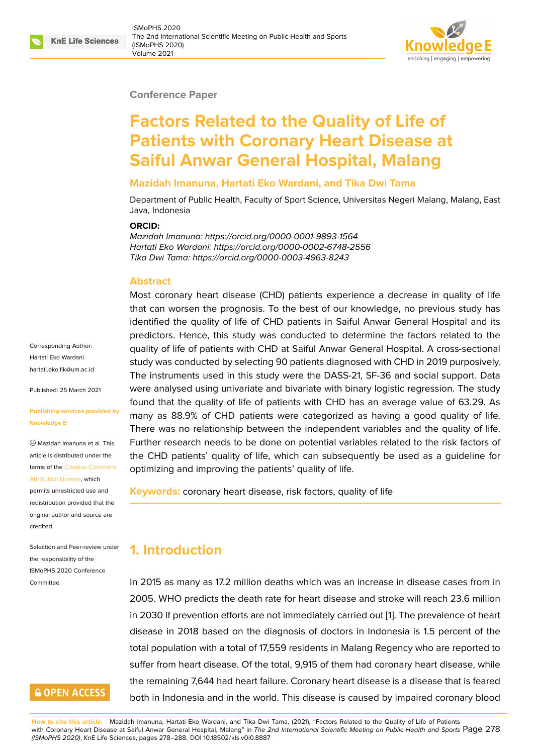#### **Conference Paper**

# **Factors Related to the Quality of Life of Patients with Coronary Heart Disease at Saiful Anwar General Hospital, Malang**

#### **Mazidah Imanuna, Hartati Eko Wardani, and Tika Dwi Tama**

Department of Public Health, Faculty of Sport Science, Universitas Negeri Malang, Malang, East Java, Indonesia

#### **ORCID:**

*Mazidah Imanuna: https://orcid.org/0000-0001-9893-1564 Hartati Eko Wardani: https://orcid.org/0000-0002-6748-2556 Tika Dwi Tama: https://orcid.org/0000-0003-4963-8243*

#### **Abstract**

Most coronary heart disease (CHD) patients experience a decrease in quality of life that can worsen the prognosis. To the best of our knowledge, no previous study has identified the quality of life of CHD patients in Saiful Anwar General Hospital and its predictors. Hence, this study was conducted to determine the factors related to the quality of life of patients with CHD at Saiful Anwar General Hospital. A cross-sectional study was conducted by selecting 90 patients diagnosed with CHD in 2019 purposively. The instruments used in this study were the DASS-21, SF-36 and social support. Data were analysed using univariate and bivariate with binary logistic regression. The study found that the quality of life of patients with CHD has an average value of 63.29. As many as 88.9% of CHD patients were categorized as having a good quality of life. There was no relationship between the independent variables and the quality of life. Further research needs to be done on potential variables related to the risk factors of the CHD patients' quality of life, which can subsequently be used as a guideline for optimizing and improving the patients' quality of life.

**Keywords:** coronary heart disease, risk factors, quality of life

# **1. Introduction**

In 2015 as many as 17.2 million deaths which was an increase in disease cases from in 2005. WHO predicts the death rate for heart disease and stroke will reach 23.6 million in 2030 if prevention efforts are not immediately carried out [1]. The prevalence of heart disease in 2018 based on the diagnosis of doctors in Indonesia is 1.5 percent of the total population with a total of 17,559 residents in Malang Regency who are reported to suffer from heart disease. Of the total, 9,915 of them had co[ro](#page-9-0)nary heart disease, while the remaining 7,644 had heart failure. Coronary heart disease is a disease that is feared both in Indonesia and in the world. This disease is caused by impaired coronary blood

Corresponding Author: Hartati Eko Wardani hartati.eko.fik@um.ac.id

Published: 25 March 2021

#### **[Publishing services pro](mailto:hartati.eko.fik@um.ac.id)vided by Knowledge E**

Mazidah Imanuna et al. This article is distributed under the terms of the Creative Commons Attribution License, which

permits unrestricted use and redistribution provided that the original auth[or and source are](https://creativecommons.org/licenses/by/4.0/) [credited.](https://creativecommons.org/licenses/by/4.0/)

Selection and Peer-review under the responsibility of the ISMoPHS 2020 Conference Committee.

# **GOPEN ACCESS**

**How to cite this article**: Mazidah Imanuna, Hartati Eko Wardani, and Tika Dwi Tama, (2021), "Factors Related to the Quality of Life of Patients with Coronary Heart Disease at Saiful Anwar General Hospital, Malang" in *The 2nd International Scientific Meeting on Public Health and Sports* Page 278 *(ISMoPHS 2020)*, KnE Life Sciences, pages 278–288. DOI 10.18502/kls.v0i0.8887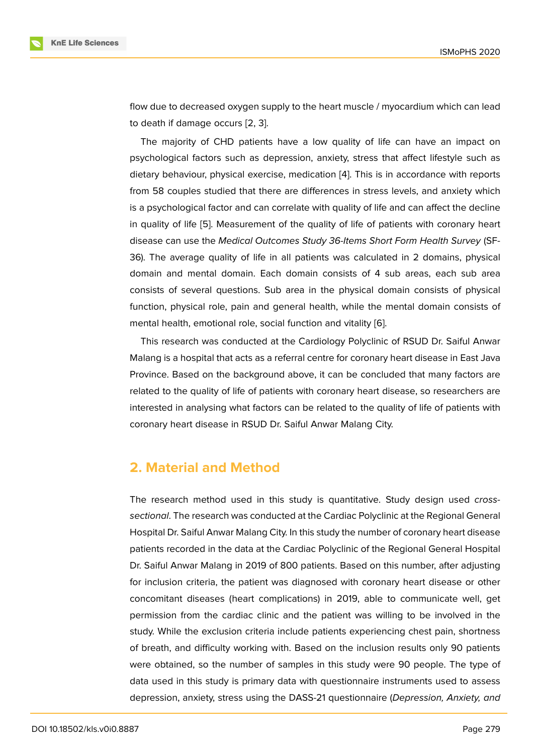flow due to decreased oxygen supply to the heart muscle / myocardium which can lead to death if damage occurs [2, 3].

The majority of CHD patients have a low quality of life can have an impact on psychological factors such as depression, anxiety, stress that affect lifestyle such as dietary behaviour, physical [ex](#page-9-1)[er](#page-9-2)cise, medication [4]. This is in accordance with reports from 58 couples studied that there are differences in stress levels, and anxiety which is a psychological factor and can correlate with quality of life and can affect the decline in quality of life [5]. Measurement of the quality [of](#page-9-3) life of patients with coronary heart disease can use the *Medical Outcomes Study 36-Items Short Form Health Survey* (SF-36). The average quality of life in all patients was calculated in 2 domains, physical domain and me[nt](#page-9-4)al domain. Each domain consists of 4 sub areas, each sub area consists of several questions. Sub area in the physical domain consists of physical function, physical role, pain and general health, while the mental domain consists of mental health, emotional role, social function and vitality [6].

This research was conducted at the Cardiology Polyclinic of RSUD Dr. Saiful Anwar Malang is a hospital that acts as a referral centre for coronary heart disease in East Java Province. Based on the background above, it can be co[ncl](#page-9-5)uded that many factors are related to the quality of life of patients with coronary heart disease, so researchers are interested in analysing what factors can be related to the quality of life of patients with coronary heart disease in RSUD Dr. Saiful Anwar Malang City.

## **2. Material and Method**

The research method used in this study is quantitative. Study design used *crosssectional*. The research was conducted at the Cardiac Polyclinic at the Regional General Hospital Dr. Saiful Anwar Malang City. In this study the number of coronary heart disease patients recorded in the data at the Cardiac Polyclinic of the Regional General Hospital Dr. Saiful Anwar Malang in 2019 of 800 patients. Based on this number, after adjusting for inclusion criteria, the patient was diagnosed with coronary heart disease or other concomitant diseases (heart complications) in 2019, able to communicate well, get permission from the cardiac clinic and the patient was willing to be involved in the study. While the exclusion criteria include patients experiencing chest pain, shortness of breath, and difficulty working with. Based on the inclusion results only 90 patients were obtained, so the number of samples in this study were 90 people. The type of data used in this study is primary data with questionnaire instruments used to assess depression, anxiety, stress using the DASS-21 questionnaire (*Depression, Anxiety, and*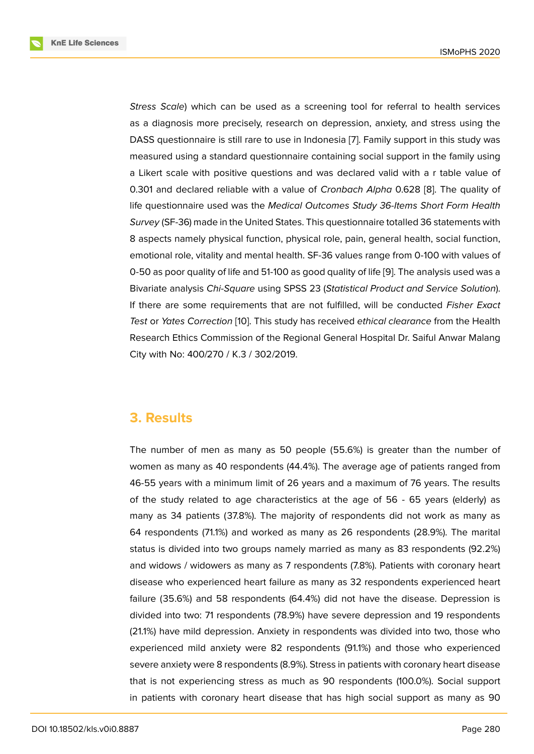*Stress Scale*) which can be used as a screening tool for referral to health services as a diagnosis more precisely, research on depression, anxiety, and stress using the DASS questionnaire is still rare to use in Indonesia [7]. Family support in this study was measured using a standard questionnaire containing social support in the family using a Likert scale with positive questions and was declared valid with a r table value of 0.301 and declared reliable with a value of *Cronb[ac](#page-9-6)h Alpha* 0.628 [8]. The quality of life questionnaire used was the *Medical Outcomes Study 36-Items Short Form Health Survey* (SF-36) made in the United States. This questionnaire totalled 36 statements with 8 aspects namely physical function, physical role, pain, general healt[h,](#page-9-7) social function, emotional role, vitality and mental health. SF-36 values range from 0-100 with values of 0-50 as poor quality of life and 51-100 as good quality of life [9]. The analysis used was a Bivariate analysis *Chi-Square* using SPSS 23 (*Statistical Product and Service Solution*). If there are some requirements that are not fulfilled, will be conducted *Fisher Exact Test* or *Yates Correction* [10]. This study has received *ethica[l c](#page-9-8)learance* from the Health Research Ethics Commission of the Regional General Hospital Dr. Saiful Anwar Malang City with No: 400/270 / K.3 / 302/2019.

## **3. Results**

The number of men as many as 50 people (55.6%) is greater than the number of women as many as 40 respondents (44.4%). The average age of patients ranged from 46-55 years with a minimum limit of 26 years and a maximum of 76 years. The results of the study related to age characteristics at the age of 56 - 65 years (elderly) as many as 34 patients (37.8%). The majority of respondents did not work as many as 64 respondents (71.1%) and worked as many as 26 respondents (28.9%). The marital status is divided into two groups namely married as many as 83 respondents (92.2%) and widows / widowers as many as 7 respondents (7.8%). Patients with coronary heart disease who experienced heart failure as many as 32 respondents experienced heart failure (35.6%) and 58 respondents (64.4%) did not have the disease. Depression is divided into two: 71 respondents (78.9%) have severe depression and 19 respondents (21.1%) have mild depression. Anxiety in respondents was divided into two, those who experienced mild anxiety were 82 respondents (91.1%) and those who experienced severe anxiety were 8 respondents (8.9%). Stress in patients with coronary heart disease that is not experiencing stress as much as 90 respondents (100.0%). Social support in patients with coronary heart disease that has high social support as many as 90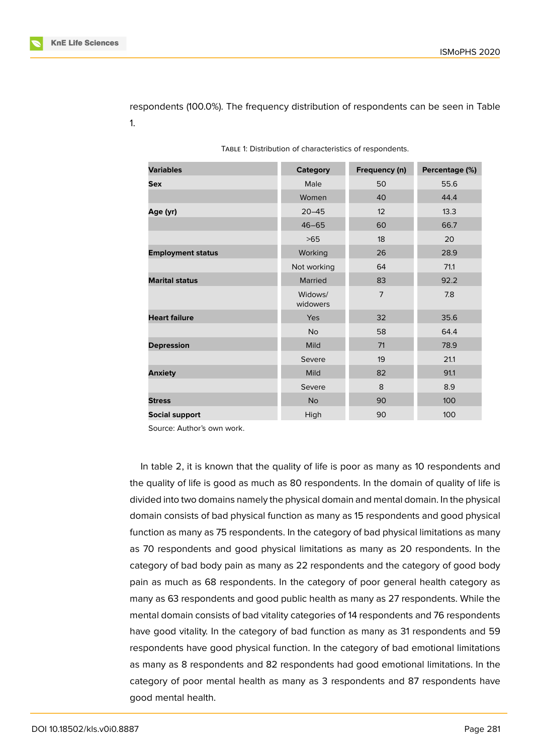respondents (100.0%). The frequency distribution of respondents can be seen in Table 1.

| <b>Variables</b>         | <b>Category</b>     | Frequency (n)  | Percentage (%) |  |
|--------------------------|---------------------|----------------|----------------|--|
| <b>Sex</b>               | Male                | 50             | 55.6           |  |
|                          | Women<br>40         |                | 44.4           |  |
| Age (yr)                 | $20 - 45$           | 12             | 13.3           |  |
|                          | $46 - 65$           | 60             | 66.7           |  |
|                          | >65                 | 18             | 20             |  |
| <b>Employment status</b> | Working             | 26             | 28.9           |  |
|                          | Not working         | 64             | 71.1           |  |
| <b>Marital status</b>    | Married             | 83             | 92.2           |  |
|                          | Widows/<br>widowers | $\overline{7}$ | 7.8            |  |
| <b>Heart failure</b>     | Yes                 | 32             | 35.6           |  |
|                          | <b>No</b>           | 58             | 64.4           |  |
| <b>Depression</b>        | Mild                | 71             | 78.9           |  |
|                          | Severe              | 19             | 21.1           |  |
| <b>Anxiety</b>           | Mild                | 82             | 91.1           |  |
|                          | Severe              | 8              | 8.9            |  |
| <b>Stress</b>            | <b>No</b>           | 90             | 100            |  |
| <b>Social support</b>    | High                | 90             | 100            |  |

Source: Author's own work.

In table 2, it is known that the quality of life is poor as many as 10 respondents and the quality of life is good as much as 80 respondents. In the domain of quality of life is divided into two domains namely the physical domain and mental domain. In the physical domain consists of bad physical function as many as 15 respondents and good physical function as many as 75 respondents. In the category of bad physical limitations as many as 70 respondents and good physical limitations as many as 20 respondents. In the category of bad body pain as many as 22 respondents and the category of good body pain as much as 68 respondents. In the category of poor general health category as many as 63 respondents and good public health as many as 27 respondents. While the mental domain consists of bad vitality categories of 14 respondents and 76 respondents have good vitality. In the category of bad function as many as 31 respondents and 59 respondents have good physical function. In the category of bad emotional limitations as many as 8 respondents and 82 respondents had good emotional limitations. In the category of poor mental health as many as 3 respondents and 87 respondents have good mental health.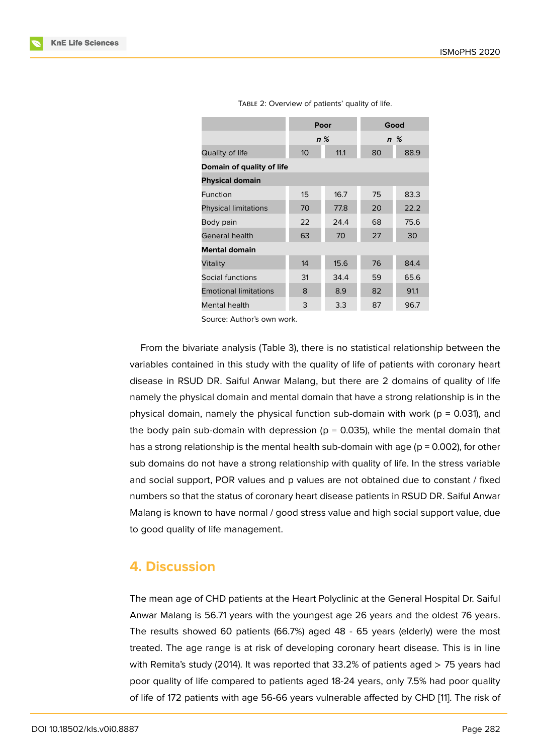| TABLE 2: Overview of patients' quality of life. |
|-------------------------------------------------|
|-------------------------------------------------|

|                              |                         | Poor  | Good     |      |  |  |  |  |
|------------------------------|-------------------------|-------|----------|------|--|--|--|--|
|                              |                         | $n\%$ | $n \, %$ |      |  |  |  |  |
| Quality of life              | 11.1<br>10 <sup>°</sup> |       | 80       | 88.9 |  |  |  |  |
| Domain of quality of life    |                         |       |          |      |  |  |  |  |
| <b>Physical domain</b>       |                         |       |          |      |  |  |  |  |
| Function                     | 15                      | 16.7  | 75       | 83.3 |  |  |  |  |
| <b>Physical limitations</b>  | 70                      | 77.8  | 20       | 22.2 |  |  |  |  |
| Body pain                    | 22                      | 24.4  | 68       | 75.6 |  |  |  |  |
| General health               | 63                      | 70    | 27       | 30   |  |  |  |  |
| <b>Mental domain</b>         |                         |       |          |      |  |  |  |  |
| Vitality                     | 14                      | 15.6  | 76       | 84.4 |  |  |  |  |
| Social functions             | 31                      | 34.4  | 59       | 65.6 |  |  |  |  |
| <b>Emotional limitations</b> | 8                       | 8.9   | 82       | 91.1 |  |  |  |  |
| Mental health                | 3                       | 3.3   | 87       | 96.7 |  |  |  |  |

Source: Author's own work.

From the bivariate analysis (Table 3), there is no statistical relationship between the variables contained in this study with the quality of life of patients with coronary heart disease in RSUD DR. Saiful Anwar Malang, but there are 2 domains of quality of life namely the physical domain and mental domain that have a strong relationship is in the physical domain, namely the physical function sub-domain with work ( $p = 0.031$ ), and the body pain sub-domain with depression ( $p = 0.035$ ), while the mental domain that has a strong relationship is the mental health sub-domain with age ( $p = 0.002$ ), for other sub domains do not have a strong relationship with quality of life. In the stress variable and social support, POR values and p values are not obtained due to constant / fixed numbers so that the status of coronary heart disease patients in RSUD DR. Saiful Anwar Malang is known to have normal / good stress value and high social support value, due to good quality of life management.

### **4. Discussion**

The mean age of CHD patients at the Heart Polyclinic at the General Hospital Dr. Saiful Anwar Malang is 56.71 years with the youngest age 26 years and the oldest 76 years. The results showed 60 patients (66.7%) aged 48 - 65 years (elderly) were the most treated. The age range is at risk of developing coronary heart disease. This is in line with Remita's study (2014). It was reported that 33.2% of patients aged  $>$  75 years had poor quality of life compared to patients aged 18-24 years, only 7.5% had poor quality of life of 172 patients with age 56-66 years vulnerable affected by CHD [11]. The risk of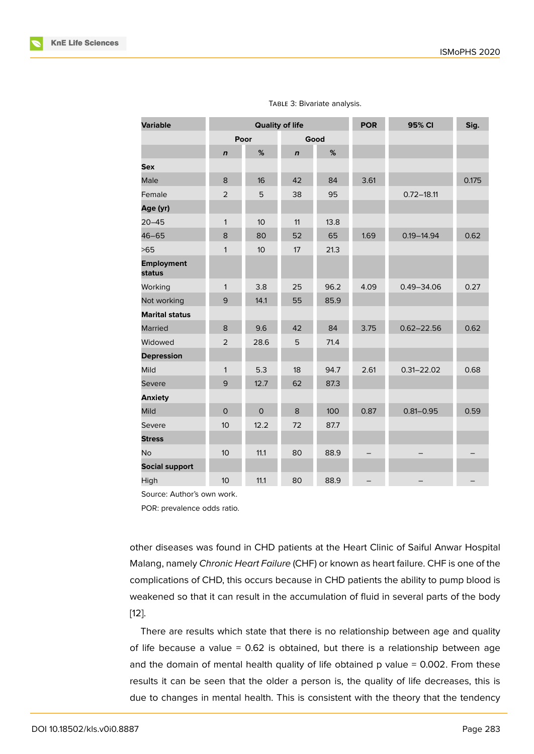| <b>Variable</b>             | <b>Quality of life</b> |                  | <b>POR</b>  | 95% CI | Sig. |                |       |
|-----------------------------|------------------------|------------------|-------------|--------|------|----------------|-------|
|                             |                        | Poor<br>Good     |             |        |      |                |       |
|                             | $\mathbf n$            | %                | $\mathbf n$ | %      |      |                |       |
| <b>Sex</b>                  |                        |                  |             |        |      |                |       |
| Male                        | 8                      | 16               | 42          | 84     | 3.61 |                | 0.175 |
| Female                      | $\overline{2}$         | 5                | 38          | 95     |      | $0.72 - 18.11$ |       |
| Age (yr)                    |                        |                  |             |        |      |                |       |
| $20 - 45$                   | $\mathbf{1}$           | 10               | 11          | 13.8   |      |                |       |
| $46 - 65$                   | 8                      | 80               | 52          | 65     | 1.69 | $0.19 - 14.94$ | 0.62  |
| >65                         | $\mathbf{1}$           | 10 <sup>10</sup> | 17          | 21.3   |      |                |       |
| <b>Employment</b><br>status |                        |                  |             |        |      |                |       |
| Working                     | $\mathbf{1}$           | 3.8              | 25          | 96.2   | 4.09 | $0.49 - 34.06$ | 0.27  |
| Not working                 | 9                      | 14.1             | 55          | 85.9   |      |                |       |
| <b>Marital status</b>       |                        |                  |             |        |      |                |       |
| Married                     | 8                      | 9.6              | 42          | 84     | 3.75 | $0.62 - 22.56$ | 0.62  |
| Widowed                     | $\overline{2}$         | 28.6             | 5           | 71.4   |      |                |       |
| <b>Depression</b>           |                        |                  |             |        |      |                |       |
| Mild                        | $\mathbf{1}$           | 5.3              | 18          | 94.7   | 2.61 | $0.31 - 22.02$ | 0.68  |
| Severe                      | 9                      | 12.7             | 62          | 87.3   |      |                |       |
| <b>Anxiety</b>              |                        |                  |             |        |      |                |       |
| <b>Mild</b>                 | $\mathsf{O}$           | $\mathsf{O}$     | 8           | 100    | 0.87 | $0.81 - 0.95$  | 0.59  |
| Severe                      | 10                     | 12.2             | 72          | 87.7   |      |                |       |
| <b>Stress</b>               |                        |                  |             |        |      |                |       |
| <b>No</b>                   | 10                     | 11.1             | 80          | 88.9   |      |                |       |
| <b>Social support</b>       |                        |                  |             |        |      |                |       |
| High                        | 10                     | 11.1             | 80          | 88.9   |      |                |       |

#### TABLE 3: Bivariate analysis.

Source: Author's own work.

POR: prevalence odds ratio.

other diseases was found in CHD patients at the Heart Clinic of Saiful Anwar Hospital Malang, namely *Chronic Heart Failure* (CHF) or known as heart failure. CHF is one of the complications of CHD, this occurs because in CHD patients the ability to pump blood is weakened so that it can result in the accumulation of fluid in several parts of the body [12].

There are results which state that there is no relationship between age and quality of life because a value  $= 0.62$  is obtained, but there is a relationship between age [and](#page-9-9) the domain of mental health quality of life obtained  $p$  value = 0.002. From these results it can be seen that the older a person is, the quality of life decreases, this is due to changes in mental health. This is consistent with the theory that the tendency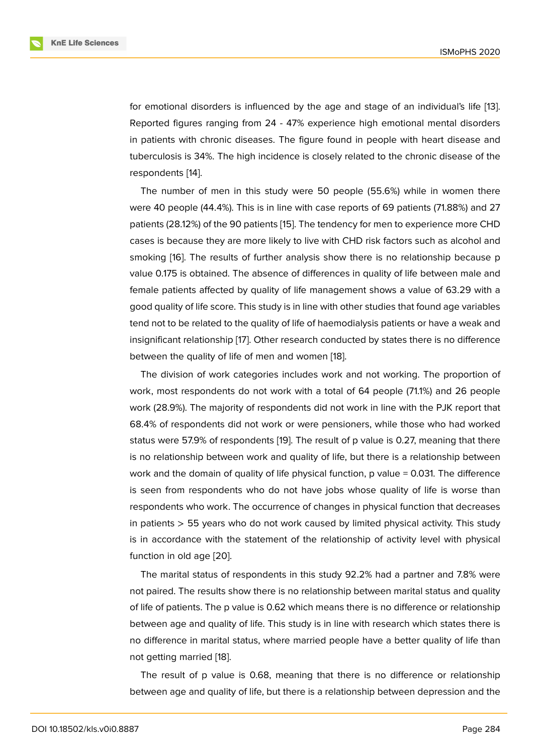for emotional disorders is influenced by the age and stage of an individual's life [13]. Reported figures ranging from 24 - 47% experience high emotional mental disorders in patients with chronic diseases. The figure found in people with heart disease and tuberculosis is 34%. The high incidence is closely related to the chronic disease of [the](#page-9-10) respondents [14].

The number of men in this study were 50 people (55.6%) while in women there were 40 people (44.4%). This is in line with case reports of 69 patients (71.88%) and 27 patients (28.1[2%](#page-9-11)) of the 90 patients [15]. The tendency for men to experience more CHD cases is because they are more likely to live with CHD risk factors such as alcohol and smoking [16]. The results of further analysis show there is no relationship because p value 0.175 is obtained. The absen[ce](#page-10-0) of differences in quality of life between male and female patients affected by quality of life management shows a value of 63.29 with a good qua[lity](#page-10-1) of life score. This study is in line with other studies that found age variables tend not to be related to the quality of life of haemodialysis patients or have a weak and insignificant relationship [17]. Other research conducted by states there is no difference between the quality of life of men and women [18].

The division of work categories includes work and not working. The proportion of work, most respondents [do](#page-10-2) not work with a total of 64 people (71.1%) and 26 people work (28.9%). The majority of respondents did [not](#page-10-3) work in line with the PJK report that 68.4% of respondents did not work or were pensioners, while those who had worked status were 57.9% of respondents [19]. The result of p value is 0.27, meaning that there is no relationship between work and quality of life, but there is a relationship between work and the domain of quality of life physical function, p value = 0.031. The difference is seen from respondents who d[o n](#page-10-4)ot have jobs whose quality of life is worse than respondents who work. The occurrence of changes in physical function that decreases in patients  $>$  55 years who do not work caused by limited physical activity. This study is in accordance with the statement of the relationship of activity level with physical function in old age [20].

The marital status of respondents in this study 92.2% had a partner and 7.8% were not paired. The results show there is no relationship between marital status and quality of life of patients. T[he p](#page-10-5) value is 0.62 which means there is no difference or relationship between age and quality of life. This study is in line with research which states there is no difference in marital status, where married people have a better quality of life than not getting married [18].

The result of p value is 0.68, meaning that there is no difference or relationship between age and quality of life, but there is a relationship between depression and the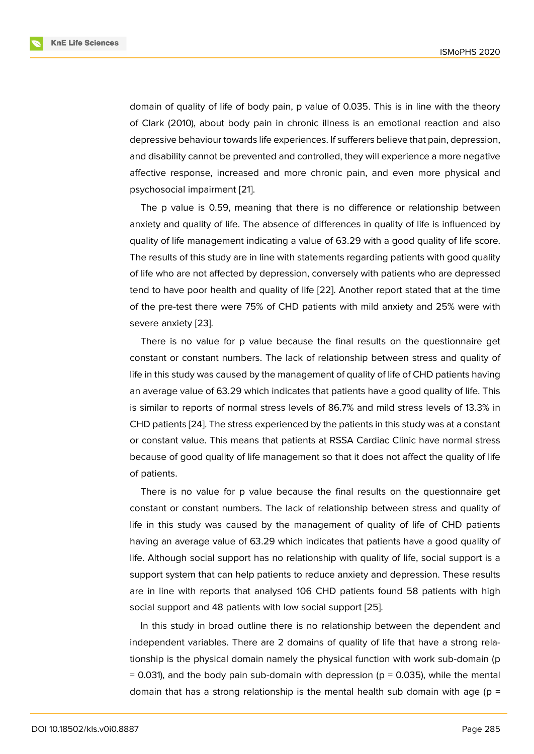domain of quality of life of body pain, p value of 0.035. This is in line with the theory of Clark (2010), about body pain in chronic illness is an emotional reaction and also depressive behaviour towards life experiences. If sufferers believe that pain, depression, and disability cannot be prevented and controlled, they will experience a more negative affective response, increased and more chronic pain, and even more physical and psychosocial impairment [21].

The p value is 0.59, meaning that there is no difference or relationship between anxiety and quality of life. The absence of differences in quality of life is influenced by quality of life managemen[t in](#page-10-6)dicating a value of 63.29 with a good quality of life score. The results of this study are in line with statements regarding patients with good quality of life who are not affected by depression, conversely with patients who are depressed tend to have poor health and quality of life [22]. Another report stated that at the time of the pre-test there were 75% of CHD patients with mild anxiety and 25% were with severe anxiety [23].

There is no value for p value because [the](#page-10-7) final results on the questionnaire get constant or constant numbers. The lack of relationship between stress and quality of life in this study [wa](#page-10-8)s caused by the management of quality of life of CHD patients having an average value of 63.29 which indicates that patients have a good quality of life. This is similar to reports of normal stress levels of 86.7% and mild stress levels of 13.3% in CHD patients [24]. The stress experienced by the patients in this study was at a constant or constant value. This means that patients at RSSA Cardiac Clinic have normal stress because of good quality of life management so that it does not affect the quality of life of patients.

There is no value for p value because the final results on the questionnaire get constant or constant numbers. The lack of relationship between stress and quality of life in this study was caused by the management of quality of life of CHD patients having an average value of 63.29 which indicates that patients have a good quality of life. Although social support has no relationship with quality of life, social support is a support system that can help patients to reduce anxiety and depression. These results are in line with reports that analysed 106 CHD patients found 58 patients with high social support and 48 patients with low social support [25].

In this study in broad outline there is no relationship between the dependent and independent variables. There are 2 domains of quality of life that have a strong relationship is the physical domain namely the physical fu[ncti](#page-10-9)on with work sub-domain (p  $= 0.031$ ), and the body pain sub-domain with depression ( $p = 0.035$ ), while the mental domain that has a strong relationship is the mental health sub domain with age ( $p =$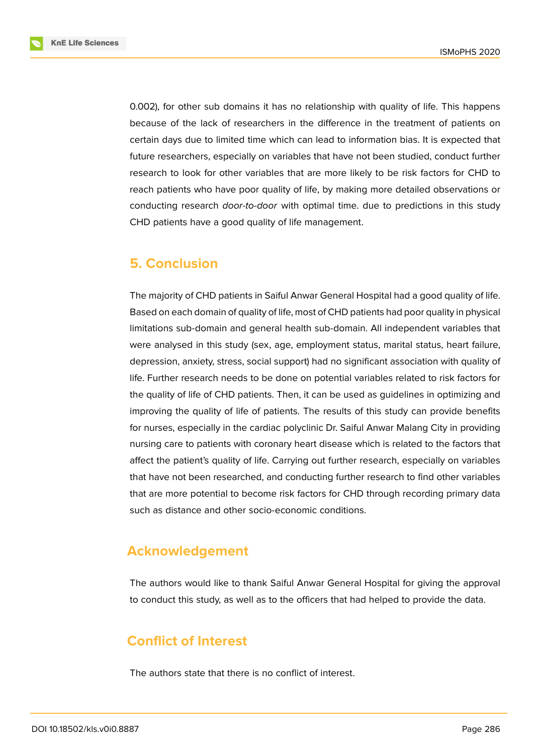**KnE Life Sciences** 



0.002), for other sub domains it has no relationship with quality of life. This happens because of the lack of researchers in the difference in the treatment of patients on certain days due to limited time which can lead to information bias. It is expected that future researchers, especially on variables that have not been studied, conduct further research to look for other variables that are more likely to be risk factors for CHD to reach patients who have poor quality of life, by making more detailed observations or conducting research *door-to-door* with optimal time. due to predictions in this study CHD patients have a good quality of life management.

## **5. Conclusion**

The majority of CHD patients in Saiful Anwar General Hospital had a good quality of life. Based on each domain of quality of life, most of CHD patients had poor quality in physical limitations sub-domain and general health sub-domain. All independent variables that were analysed in this study (sex, age, employment status, marital status, heart failure, depression, anxiety, stress, social support) had no significant association with quality of life. Further research needs to be done on potential variables related to risk factors for the quality of life of CHD patients. Then, it can be used as guidelines in optimizing and improving the quality of life of patients. The results of this study can provide benefits for nurses, especially in the cardiac polyclinic Dr. Saiful Anwar Malang City in providing nursing care to patients with coronary heart disease which is related to the factors that affect the patient's quality of life. Carrying out further research, especially on variables that have not been researched, and conducting further research to find other variables that are more potential to become risk factors for CHD through recording primary data such as distance and other socio-economic conditions.

## **Acknowledgement**

The authors would like to thank Saiful Anwar General Hospital for giving the approval to conduct this study, as well as to the officers that had helped to provide the data.

# **Conflict of Interest**

The authors state that there is no conflict of interest.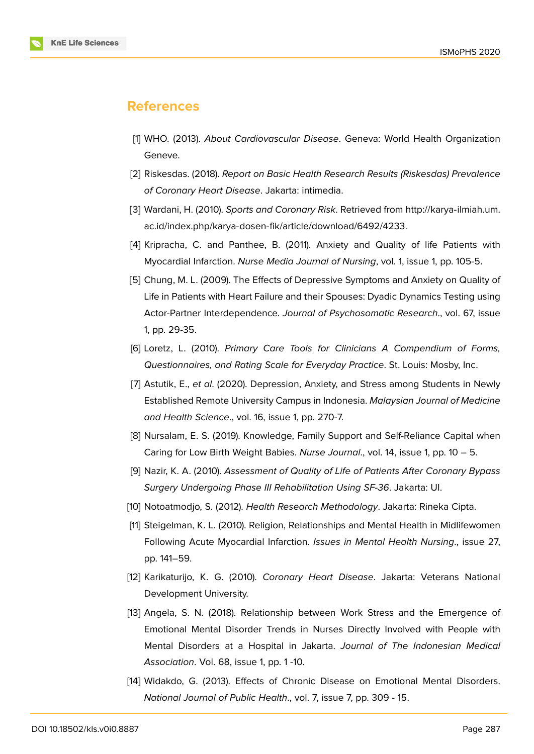#### **References**

- [1] WHO. (2013). *About Cardiovascular Disease*. Geneva: World Health Organization Geneve.
- <span id="page-9-0"></span>[2] Riskesdas. (2018). *Report on Basic Health Research Results (Riskesdas) Prevalence of Coronary Heart Disease*. Jakarta: intimedia.
- <span id="page-9-1"></span>[3] Wardani, H. (2010). *Sports and Coronary Risk*. Retrieved from http://karya-ilmiah.um. ac.id/index.php/karya-dosen-fik/article/download/6492/4233.
- <span id="page-9-2"></span>[4] Kripracha, C. and Panthee, B. (2011). Anxiety and Quality of life Patients with Myocardial Infarction. *Nurse Media Journal of Nursing*, vol. 1, [issue 1, pp. 105-5.](http://karya-ilmiah.um.ac.id/index.php/karya-dosen-fik/article/download/6492/4233)
- <span id="page-9-3"></span>[5] [Chung, M. L. \(2009\). The Effects of Depressive Symptoms and](http://karya-ilmiah.um.ac.id/index.php/karya-dosen-fik/article/download/6492/4233) Anxiety on Quality of Life in Patients with Heart Failure and their Spouses: Dyadic Dynamics Testing using Actor-Partner Interdependence. *Journal of Psychosomatic Research*., vol. 67, issue 1, pp. 29-35.
- <span id="page-9-4"></span>[6] Loretz, L. (2010). *Primary Care Tools for Clinicians A Compendium of Forms, Questionnaires, and Rating Scale for Everyday Practice*. St. Louis: Mosby, Inc.
- <span id="page-9-5"></span>[7] Astutik, E., *et al*. (2020). Depression, Anxiety, and Stress among Students in Newly Established Remote University Campus in Indonesia. *Malaysian Journal of Medicine and Health Science*., vol. 16, issue 1, pp. 270-7.
- <span id="page-9-6"></span>[8] Nursalam, E. S. (2019). Knowledge, Family Support and Self-Reliance Capital when Caring for Low Birth Weight Babies. *Nurse Journal*., vol. 14, issue 1, pp. 10 – 5.
- <span id="page-9-7"></span>[9] Nazir, K. A. (2010). *Assessment of Quality of Life of Patients After Coronary Bypass Surgery Undergoing Phase III Rehabilitation Using SF-36*. Jakarta: UI.
- <span id="page-9-8"></span>[10] Notoatmodjo, S. (2012). *Health Research Methodology*. Jakarta: Rineka Cipta.
- [11] Steigelman, K. L. (2010). Religion, Relationships and Mental Health in Midlifewomen Following Acute Myocardial Infarction. *Issues in Mental Health Nursing*., issue 27, pp. 141–59.
- [12] Karikaturijo, K. G. (2010). *Coronary Heart Disease*. Jakarta: Veterans National Development University.
- <span id="page-9-9"></span>[13] Angela, S. N. (2018). Relationship between Work Stress and the Emergence of Emotional Mental Disorder Trends in Nurses Directly Involved with People with Mental Disorders at a Hospital in Jakarta. *Journal of The Indonesian Medical Association*. Vol. 68, issue 1, pp. 1 -10.
- <span id="page-9-11"></span><span id="page-9-10"></span>[14] Widakdo, G. (2013). Effects of Chronic Disease on Emotional Mental Disorders. *National Journal of Public Health*., vol. 7, issue 7, pp. 309 - 15.